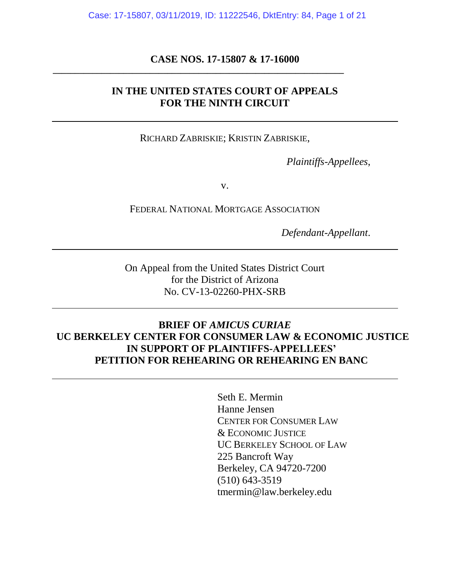Case: 17-15807, 03/11/2019, ID: 11222546, DktEntry: 84, Page 1 of 21

### **CASE NOS. 17-15807 & 17-16000**

**\_\_\_\_\_\_\_\_\_\_\_\_\_\_\_\_\_\_\_\_\_\_\_\_\_\_\_\_\_\_\_\_\_\_\_\_\_\_\_\_\_\_\_\_\_\_\_\_\_\_\_\_\_\_\_\_\_\_\_\_\_\_\_\_\_\_**

## **IN THE UNITED STATES COURT OF APPEALS FOR THE NINTH CIRCUIT**

RICHARD ZABRISKIE; KRISTIN ZABRISKIE,

*Plaintiffs-Appellees*,

v.

FEDERAL NATIONAL MORTGAGE ASSOCIATION

*Defendant-Appellant*.

On Appeal from the United States District Court for the District of Arizona No. CV-13-02260-PHX-SRB

## **BRIEF OF** *AMICUS CURIAE* **UC BERKELEY CENTER FOR CONSUMER LAW & ECONOMIC JUSTICE IN SUPPORT OF PLAINTIFFS-APPELLEES' PETITION FOR REHEARING OR REHEARING EN BANC**

Seth E. Mermin Hanne Jensen CENTER FOR CONSUMER LAW & ECONOMIC JUSTICE UC BERKELEY SCHOOL OF LAW 225 Bancroft Way Berkeley, CA 94720-7200 (510) 643-3519 tmermin@law.berkeley.edu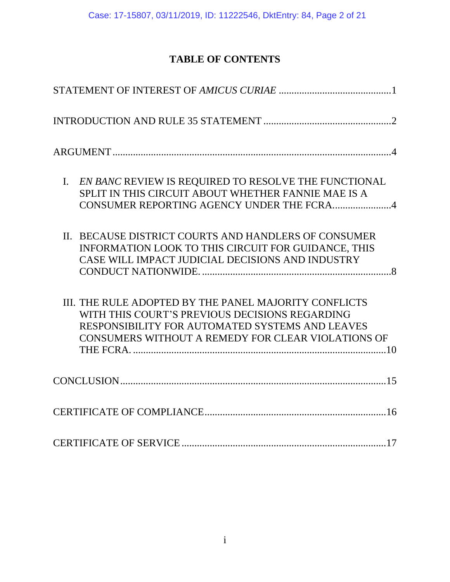# **TABLE OF CONTENTS**

| EN BANC REVIEW IS REQUIRED TO RESOLVE THE FUNCTIONAL<br>$\mathbf{I}$ .<br>SPLIT IN THIS CIRCUIT ABOUT WHETHER FANNIE MAE IS A<br>CONSUMER REPORTING AGENCY UNDER THE FCRA4                                       |
|------------------------------------------------------------------------------------------------------------------------------------------------------------------------------------------------------------------|
| II. BECAUSE DISTRICT COURTS AND HANDLERS OF CONSUMER<br>INFORMATION LOOK TO THIS CIRCUIT FOR GUIDANCE, THIS<br>CASE WILL IMPACT JUDICIAL DECISIONS AND INDUSTRY                                                  |
| III. THE RULE ADOPTED BY THE PANEL MAJORITY CONFLICTS<br>WITH THIS COURT'S PREVIOUS DECISIONS REGARDING<br>RESPONSIBILITY FOR AUTOMATED SYSTEMS AND LEAVES<br>CONSUMERS WITHOUT A REMEDY FOR CLEAR VIOLATIONS OF |
|                                                                                                                                                                                                                  |
|                                                                                                                                                                                                                  |
|                                                                                                                                                                                                                  |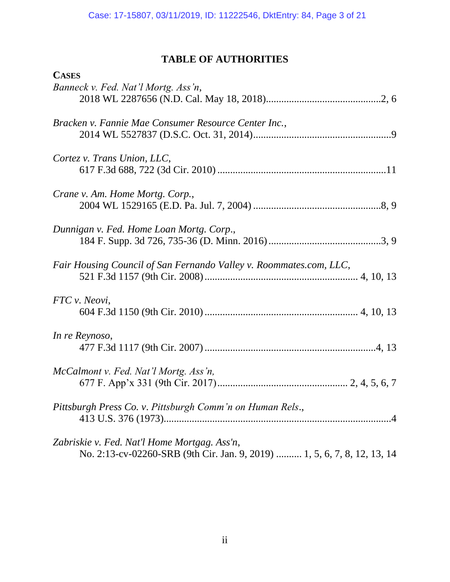# **TABLE OF AUTHORITIES**

| <b>CASES</b>                                                                                                             |
|--------------------------------------------------------------------------------------------------------------------------|
| Banneck v. Fed. Nat'l Mortg. Ass'n,                                                                                      |
| Bracken v. Fannie Mae Consumer Resource Center Inc.,                                                                     |
| Cortez v. Trans Union, LLC,                                                                                              |
| Crane v. Am. Home Mortg. Corp.,                                                                                          |
| Dunnigan v. Fed. Home Loan Mortg. Corp.,                                                                                 |
| Fair Housing Council of San Fernando Valley v. Roommates.com, LLC,                                                       |
| FTC v. Neovi,                                                                                                            |
| In re Reynoso,                                                                                                           |
| McCalmont v. Fed. Nat'l Mortg. Ass'n,                                                                                    |
| Pittsburgh Press Co. v. Pittsburgh Comm'n on Human Rels.,                                                                |
| Zabriskie v. Fed. Nat'l Home Mortgag. Ass'n,<br>No. 2:13-cv-02260-SRB (9th Cir. Jan. 9, 2019)  1, 5, 6, 7, 8, 12, 13, 14 |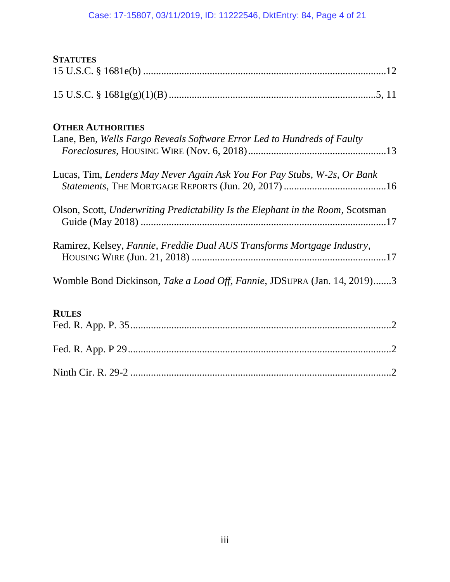## Case: 17-15807, 03/11/2019, ID: 11222546, DktEntry: 84, Page 4 of 21

| <b>STATUTES</b>                                                                                     |
|-----------------------------------------------------------------------------------------------------|
|                                                                                                     |
|                                                                                                     |
| <b>OTHER AUTHORITIES</b><br>Lane, Ben, Wells Fargo Reveals Software Error Led to Hundreds of Faulty |
|                                                                                                     |
| Lucas, Tim, Lenders May Never Again Ask You For Pay Stubs, W-2s, Or Bank                            |
| Olson, Scott, Underwriting Predictability Is the Elephant in the Room, Scotsman                     |
| Ramirez, Kelsey, Fannie, Freddie Dual AUS Transforms Mortgage Industry,                             |
| Womble Bond Dickinson, Take a Load Off, Fannie, JDSUPRA (Jan. 14, 2019)3                            |
| <b>RULES</b>                                                                                        |
|                                                                                                     |
|                                                                                                     |
|                                                                                                     |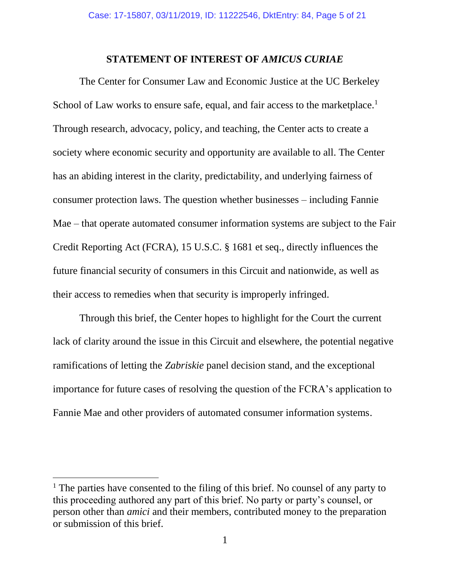### **STATEMENT OF INTEREST OF** *AMICUS CURIAE*

<span id="page-4-0"></span>The Center for Consumer Law and Economic Justice at the UC Berkeley School of Law works to ensure safe, equal, and fair access to the marketplace.<sup>1</sup> Through research, advocacy, policy, and teaching, the Center acts to create a society where economic security and opportunity are available to all. The Center has an abiding interest in the clarity, predictability, and underlying fairness of consumer protection laws. The question whether businesses – including Fannie Mae – that operate automated consumer information systems are subject to the Fair Credit Reporting Act (FCRA), 15 U.S.C. § 1681 et seq., directly influences the future financial security of consumers in this Circuit and nationwide, as well as their access to remedies when that security is improperly infringed.

Through this brief, the Center hopes to highlight for the Court the current lack of clarity around the issue in this Circuit and elsewhere, the potential negative ramifications of letting the *Zabriskie* panel decision stand, and the exceptional importance for future cases of resolving the question of the FCRA's application to Fannie Mae and other providers of automated consumer information systems.

 $\overline{a}$ 

 $<sup>1</sup>$  The parties have consented to the filing of this brief. No counsel of any party to</sup> this proceeding authored any part of this brief. No party or party's counsel, or person other than *amici* and their members, contributed money to the preparation or submission of this brief.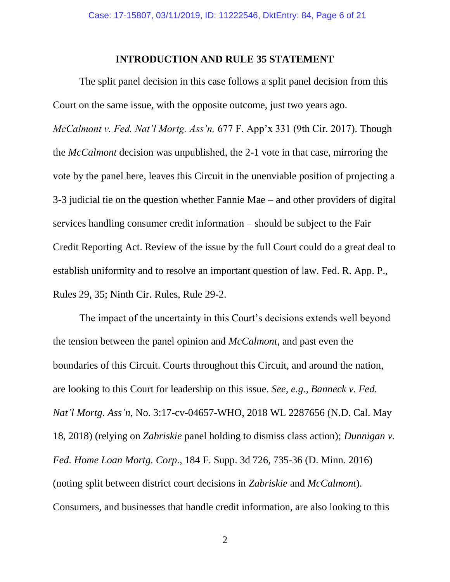#### **INTRODUCTION AND RULE 35 STATEMENT**

<span id="page-5-0"></span>The split panel decision in this case follows a split panel decision from this Court on the same issue, with the opposite outcome, just two years ago. *McCalmont v. Fed. Nat'l Mortg. Ass'n,* 677 F. App'x 331 (9th Cir. 2017). Though the *McCalmont* decision was unpublished, the 2-1 vote in that case, mirroring the vote by the panel here, leaves this Circuit in the unenviable position of projecting a 3-3 judicial tie on the question whether Fannie Mae – and other providers of digital services handling consumer credit information – should be subject to the Fair Credit Reporting Act. Review of the issue by the full Court could do a great deal to establish uniformity and to resolve an important question of law. Fed. R. App. P., Rules 29, 35; Ninth Cir. Rules, Rule 29-2.

The impact of the uncertainty in this Court's decisions extends well beyond the tension between the panel opinion and *McCalmont*, and past even the boundaries of this Circuit. Courts throughout this Circuit, and around the nation, are looking to this Court for leadership on this issue. *See, e.g., Banneck v. Fed. Nat'l Mortg. Ass'n*, No. 3:17-cv-04657-WHO, 2018 WL 2287656 (N.D. Cal. May 18, 2018) (relying on *Zabriskie* panel holding to dismiss class action); *Dunnigan v. Fed. Home Loan Mortg. Corp*., 184 F. Supp. 3d 726, 735-36 (D. Minn. 2016) (noting split between district court decisions in *Zabriskie* and *McCalmont*). Consumers, and businesses that handle credit information, are also looking to this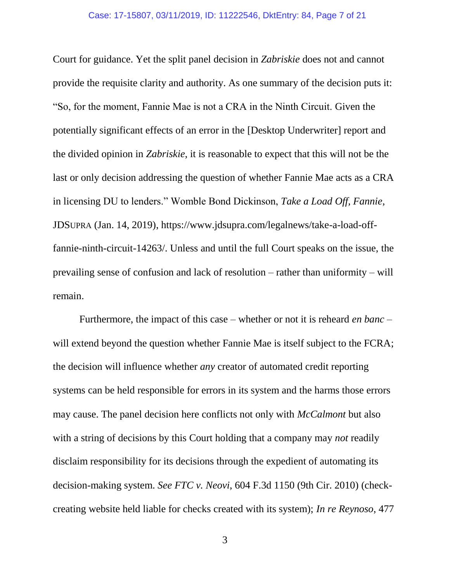Court for guidance. Yet the split panel decision in *Zabriskie* does not and cannot provide the requisite clarity and authority. As one summary of the decision puts it: "So, for the moment, Fannie Mae is not a CRA in the Ninth Circuit. Given the potentially significant effects of an error in the [Desktop Underwriter] report and the divided opinion in *Zabriskie*, it is reasonable to expect that this will not be the last or only decision addressing the question of whether Fannie Mae acts as a CRA in licensing DU to lenders." Womble Bond Dickinson, *Take a Load Off, Fannie*, JDSUPRA (Jan. 14, 2019), https://www.jdsupra.com/legalnews/take-a-load-offfannie-ninth-circuit-14263/. Unless and until the full Court speaks on the issue, the prevailing sense of confusion and lack of resolution – rather than uniformity – will remain.

Furthermore, the impact of this case – whether or not it is reheard *en banc* – will extend beyond the question whether Fannie Mae is itself subject to the FCRA; the decision will influence whether *any* creator of automated credit reporting systems can be held responsible for errors in its system and the harms those errors may cause. The panel decision here conflicts not only with *McCalmont* but also with a string of decisions by this Court holding that a company may *not* readily disclaim responsibility for its decisions through the expedient of automating its decision-making system. *See FTC v. Neovi*, 604 F.3d 1150 (9th Cir. 2010) (checkcreating website held liable for checks created with its system); *In re Reynoso*, 477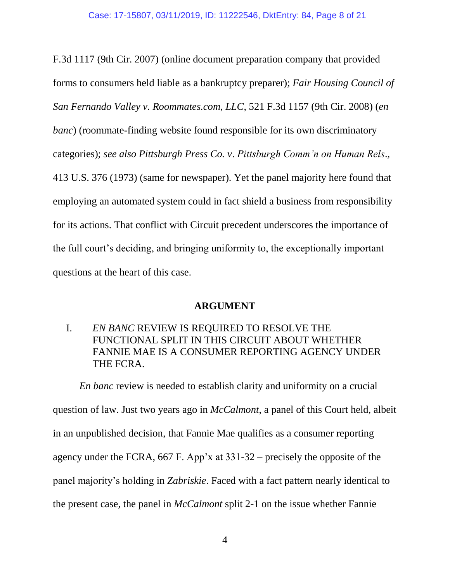F.3d 1117 (9th Cir. 2007) (online document preparation company that provided forms to consumers held liable as a bankruptcy preparer); *Fair Housing Council of San Fernando Valley v. Roommates.com, LLC*, 521 F.3d 1157 (9th Cir. 2008) (*en banc*) (roommate-finding website found responsible for its own discriminatory categories); *see also Pittsburgh Press Co. v*. *Pittsburgh Comm'n on Human Rels*., 413 U.S. 376 (1973) (same for newspaper). Yet the panel majority here found that employing an automated system could in fact shield a business from responsibility for its actions. That conflict with Circuit precedent underscores the importance of the full court's deciding, and bringing uniformity to, the exceptionally important questions at the heart of this case.

### **ARGUMENT**

## <span id="page-7-1"></span><span id="page-7-0"></span>I. *EN BANC* REVIEW IS REQUIRED TO RESOLVE THE FUNCTIONAL SPLIT IN THIS CIRCUIT ABOUT WHETHER FANNIE MAE IS A CONSUMER REPORTING AGENCY UNDER THE FCRA.

*En banc* review is needed to establish clarity and uniformity on a crucial question of law. Just two years ago in *McCalmont*, a panel of this Court held, albeit in an unpublished decision, that Fannie Mae qualifies as a consumer reporting agency under the FCRA, 667 F. App'x at 331-32 – precisely the opposite of the panel majority's holding in *Zabriskie*. Faced with a fact pattern nearly identical to the present case, the panel in *McCalmont* split 2-1 on the issue whether Fannie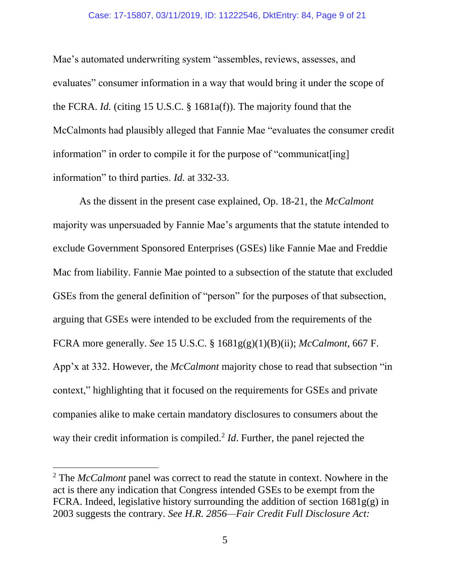#### Case: 17-15807, 03/11/2019, ID: 11222546, DktEntry: 84, Page 9 of 21

Mae's automated underwriting system "assembles, reviews, assesses, and evaluates" consumer information in a way that would bring it under the scope of the FCRA. *Id.* (citing 15 U.S.C. § 1681a(f)). The majority found that the McCalmonts had plausibly alleged that Fannie Mae "evaluates the consumer credit information" in order to compile it for the purpose of "communicatering] information" to third parties. *Id.* at 332-33.

As the dissent in the present case explained, Op. 18-21, the *McCalmont*  majority was unpersuaded by Fannie Mae's arguments that the statute intended to exclude Government Sponsored Enterprises (GSEs) like Fannie Mae and Freddie Mac from liability. Fannie Mae pointed to a subsection of the statute that excluded GSEs from the general definition of "person" for the purposes of that subsection, arguing that GSEs were intended to be excluded from the requirements of the FCRA more generally. *See* 15 U.S.C. § 1681g(g)(1)(B)(ii); *McCalmont*, 667 F. App'x at 332. However, the *McCalmont* majority chose to read that subsection "in context," highlighting that it focused on the requirements for GSEs and private companies alike to make certain mandatory disclosures to consumers about the way their credit information is compiled.<sup>2</sup> *Id*. Further, the panel rejected the

 $\overline{a}$ 

<sup>2</sup> The *McCalmont* panel was correct to read the statute in context. Nowhere in the act is there any indication that Congress intended GSEs to be exempt from the FCRA. Indeed, legislative history surrounding the addition of section  $1681g(g)$  in 2003 suggests the contrary. *See H.R. 2856—Fair Credit Full Disclosure Act:*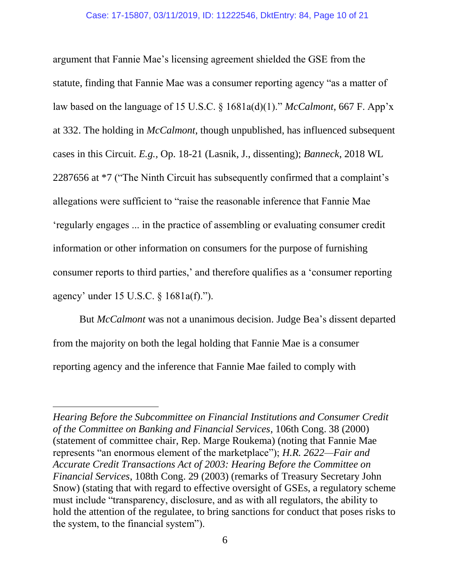argument that Fannie Mae's licensing agreement shielded the GSE from the statute, finding that Fannie Mae was a consumer reporting agency "as a matter of law based on the language of 15 U.S.C. § 1681a(d)(1)." *McCalmont*, 667 F. App'x at 332. The holding in *McCalmont*, though unpublished, has influenced subsequent cases in this Circuit. *E.g.,* Op. 18-21 (Lasnik, J., dissenting); *Banneck*, 2018 WL 2287656 at \*7 ("The Ninth Circuit has subsequently confirmed that a complaint's allegations were sufficient to "raise the reasonable inference that Fannie Mae 'regularly engages ... in the practice of assembling or evaluating consumer credit information or other information on consumers for the purpose of furnishing consumer reports to third parties,' and therefore qualifies as a 'consumer reporting agency' under 15 U.S.C. § 1681a(f).").

But *McCalmont* was not a unanimous decision. Judge Bea's dissent departed from the majority on both the legal holding that Fannie Mae is a consumer reporting agency and the inference that Fannie Mae failed to comply with

 $\overline{a}$ 

*Hearing Before the Subcommittee on Financial Institutions and Consumer Credit of the Committee on Banking and Financial Services*, 106th Cong. 38 (2000) (statement of committee chair, Rep. Marge Roukema) (noting that Fannie Mae represents "an enormous element of the marketplace"); *H.R. 2622—Fair and Accurate Credit Transactions Act of 2003: Hearing Before the Committee on Financial Services*, 108th Cong. 29 (2003) (remarks of Treasury Secretary John Snow) (stating that with regard to effective oversight of GSEs, a regulatory scheme must include "transparency, disclosure, and as with all regulators, the ability to hold the attention of the regulatee, to bring sanctions for conduct that poses risks to the system, to the financial system").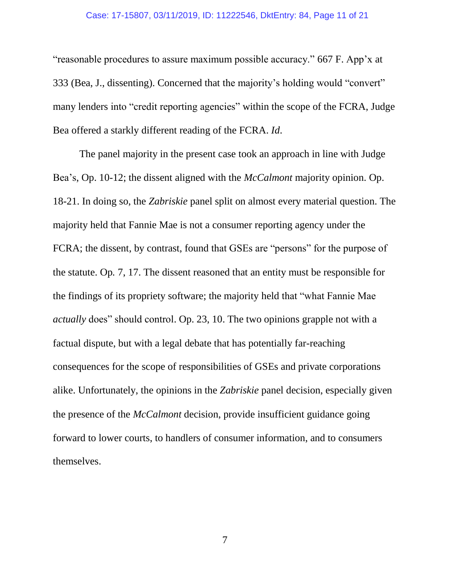#### Case: 17-15807, 03/11/2019, ID: 11222546, DktEntry: 84, Page 11 of 21

"reasonable procedures to assure maximum possible accuracy." 667 F. App'x at 333 (Bea, J., dissenting). Concerned that the majority's holding would "convert" many lenders into "credit reporting agencies" within the scope of the FCRA, Judge Bea offered a starkly different reading of the FCRA. *Id*.

The panel majority in the present case took an approach in line with Judge Bea's, Op. 10-12; the dissent aligned with the *McCalmont* majority opinion. Op. 18-21. In doing so, the *Zabriskie* panel split on almost every material question. The majority held that Fannie Mae is not a consumer reporting agency under the FCRA; the dissent, by contrast, found that GSEs are "persons" for the purpose of the statute. Op*.* 7, 17. The dissent reasoned that an entity must be responsible for the findings of its propriety software; the majority held that "what Fannie Mae *actually* does" should control. Op. 23, 10. The two opinions grapple not with a factual dispute, but with a legal debate that has potentially far-reaching consequences for the scope of responsibilities of GSEs and private corporations alike. Unfortunately, the opinions in the *Zabriskie* panel decision, especially given the presence of the *McCalmont* decision, provide insufficient guidance going forward to lower courts, to handlers of consumer information, and to consumers themselves.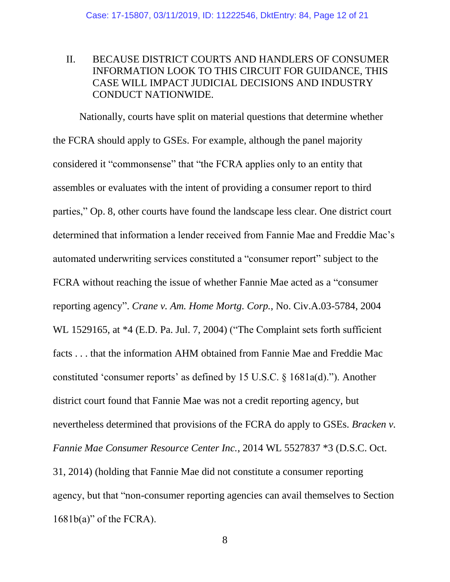## <span id="page-11-0"></span>II. BECAUSE DISTRICT COURTS AND HANDLERS OF CONSUMER INFORMATION LOOK TO THIS CIRCUIT FOR GUIDANCE, THIS CASE WILL IMPACT JUDICIAL DECISIONS AND INDUSTRY CONDUCT NATIONWIDE.

Nationally, courts have split on material questions that determine whether the FCRA should apply to GSEs. For example, although the panel majority considered it "commonsense" that "the FCRA applies only to an entity that assembles or evaluates with the intent of providing a consumer report to third parties," Op. 8, other courts have found the landscape less clear. One district court determined that information a lender received from Fannie Mae and Freddie Mac's automated underwriting services constituted a "consumer report" subject to the FCRA without reaching the issue of whether Fannie Mae acted as a "consumer reporting agency". *Crane v. Am. Home Mortg. Corp.*, No. Civ.A.03-5784, 2004 WL 1529165, at  $*4$  (E.D. Pa. Jul. 7, 2004) ("The Complaint sets forth sufficient facts . . . that the information AHM obtained from Fannie Mae and Freddie Mac constituted 'consumer reports' as defined by 15 U.S.C. § 1681a(d)."). Another district court found that Fannie Mae was not a credit reporting agency, but nevertheless determined that provisions of the FCRA do apply to GSEs. *Bracken v. Fannie Mae Consumer Resource Center Inc.*, 2014 WL 5527837 \*3 (D.S.C. Oct. 31, 2014) (holding that Fannie Mae did not constitute a consumer reporting agency, but that "non-consumer reporting agencies can avail themselves to Section  $1681b(a)$ " of the FCRA).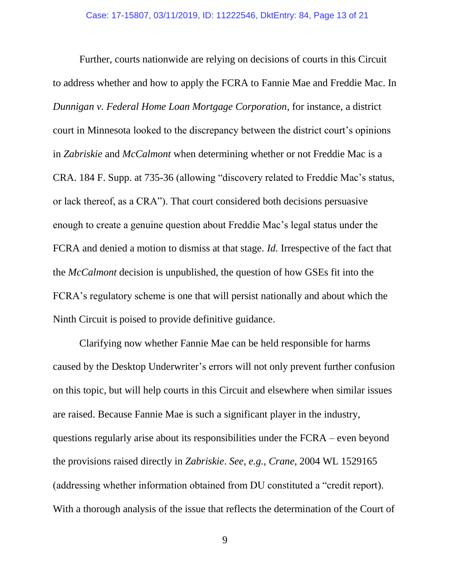Further, courts nationwide are relying on decisions of courts in this Circuit to address whether and how to apply the FCRA to Fannie Mae and Freddie Mac. In *Dunnigan v. Federal Home Loan Mortgage Corporation*, for instance, a district court in Minnesota looked to the discrepancy between the district court's opinions in *Zabriskie* and *McCalmont* when determining whether or not Freddie Mac is a CRA. 184 F. Supp. at 735-36 (allowing "discovery related to Freddie Mac's status, or lack thereof, as a CRA"). That court considered both decisions persuasive enough to create a genuine question about Freddie Mac's legal status under the FCRA and denied a motion to dismiss at that stage. *Id.* Irrespective of the fact that the *McCalmont* decision is unpublished, the question of how GSEs fit into the FCRA's regulatory scheme is one that will persist nationally and about which the Ninth Circuit is poised to provide definitive guidance.

Clarifying now whether Fannie Mae can be held responsible for harms caused by the Desktop Underwriter's errors will not only prevent further confusion on this topic, but will help courts in this Circuit and elsewhere when similar issues are raised. Because Fannie Mae is such a significant player in the industry, questions regularly arise about its responsibilities under the FCRA – even beyond the provisions raised directly in *Zabriskie*. *See, e.g.*, *Crane*, 2004 WL 1529165 (addressing whether information obtained from DU constituted a "credit report). With a thorough analysis of the issue that reflects the determination of the Court of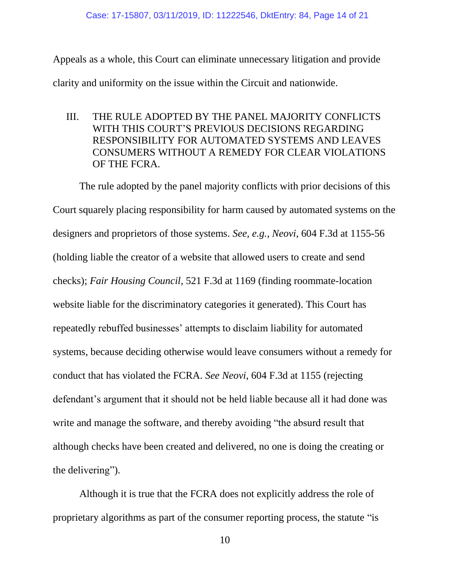Appeals as a whole, this Court can eliminate unnecessary litigation and provide clarity and uniformity on the issue within the Circuit and nationwide.

<span id="page-13-0"></span>III. THE RULE ADOPTED BY THE PANEL MAJORITY CONFLICTS WITH THIS COURT'S PREVIOUS DECISIONS REGARDING RESPONSIBILITY FOR AUTOMATED SYSTEMS AND LEAVES CONSUMERS WITHOUT A REMEDY FOR CLEAR VIOLATIONS OF THE FCRA.

The rule adopted by the panel majority conflicts with prior decisions of this Court squarely placing responsibility for harm caused by automated systems on the designers and proprietors of those systems. *See, e.g., Neovi*, 604 F.3d at 1155-56 (holding liable the creator of a website that allowed users to create and send checks); *Fair Housing Council*, 521 F.3d at 1169 (finding roommate-location website liable for the discriminatory categories it generated). This Court has repeatedly rebuffed businesses' attempts to disclaim liability for automated systems, because deciding otherwise would leave consumers without a remedy for conduct that has violated the FCRA. *See Neovi*, 604 F.3d at 1155 (rejecting defendant's argument that it should not be held liable because all it had done was write and manage the software, and thereby avoiding "the absurd result that although checks have been created and delivered, no one is doing the creating or the delivering").

Although it is true that the FCRA does not explicitly address the role of proprietary algorithms as part of the consumer reporting process, the statute "is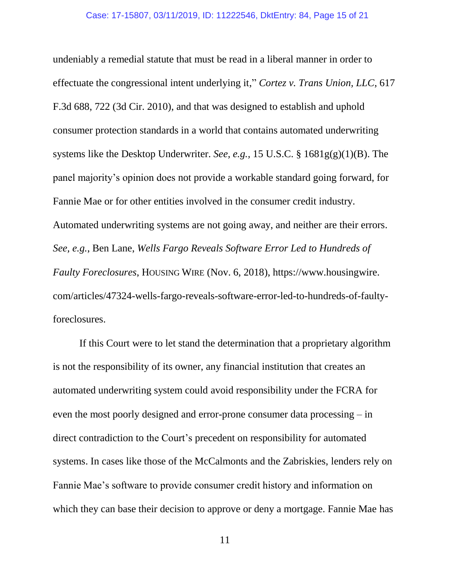undeniably a remedial statute that must be read in a liberal manner in order to effectuate the congressional intent underlying it," *Cortez v. Trans Union, LLC*, 617 F.3d 688, 722 (3d Cir. 2010), and that was designed to establish and uphold consumer protection standards in a world that contains automated underwriting systems like the Desktop Underwriter. *See, e.g.,* 15 U.S.C. § 1681g(g)(1)(B). The panel majority's opinion does not provide a workable standard going forward, for Fannie Mae or for other entities involved in the consumer credit industry. Automated underwriting systems are not going away, and neither are their errors. *See, e.g.*, Ben Lane, *Wells Fargo Reveals Software Error Led to Hundreds of Faulty Foreclosures*, HOUSING WIRE (Nov. 6, 2018), https://www.housingwire. com/articles/47324-wells-fargo-reveals-software-error-led-to-hundreds-of-faultyforeclosures.

If this Court were to let stand the determination that a proprietary algorithm is not the responsibility of its owner, any financial institution that creates an automated underwriting system could avoid responsibility under the FCRA for even the most poorly designed and error-prone consumer data processing – in direct contradiction to the Court's precedent on responsibility for automated systems. In cases like those of the McCalmonts and the Zabriskies, lenders rely on Fannie Mae's software to provide consumer credit history and information on which they can base their decision to approve or deny a mortgage. Fannie Mae has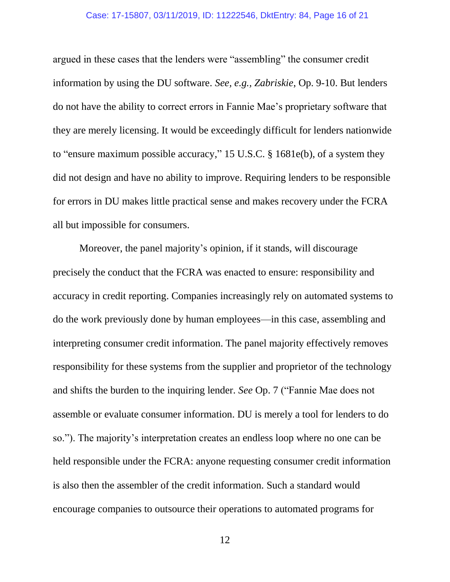#### Case: 17-15807, 03/11/2019, ID: 11222546, DktEntry: 84, Page 16 of 21

argued in these cases that the lenders were "assembling" the consumer credit information by using the DU software. *See, e.g., Zabriskie*, Op. 9-10. But lenders do not have the ability to correct errors in Fannie Mae's proprietary software that they are merely licensing. It would be exceedingly difficult for lenders nationwide to "ensure maximum possible accuracy," 15 U.S.C. § 1681e(b), of a system they did not design and have no ability to improve. Requiring lenders to be responsible for errors in DU makes little practical sense and makes recovery under the FCRA all but impossible for consumers.

Moreover, the panel majority's opinion, if it stands, will discourage precisely the conduct that the FCRA was enacted to ensure: responsibility and accuracy in credit reporting. Companies increasingly rely on automated systems to do the work previously done by human employees—in this case, assembling and interpreting consumer credit information. The panel majority effectively removes responsibility for these systems from the supplier and proprietor of the technology and shifts the burden to the inquiring lender. *See* Op. 7 ("Fannie Mae does not assemble or evaluate consumer information. DU is merely a tool for lenders to do so."). The majority's interpretation creates an endless loop where no one can be held responsible under the FCRA: anyone requesting consumer credit information is also then the assembler of the credit information. Such a standard would encourage companies to outsource their operations to automated programs for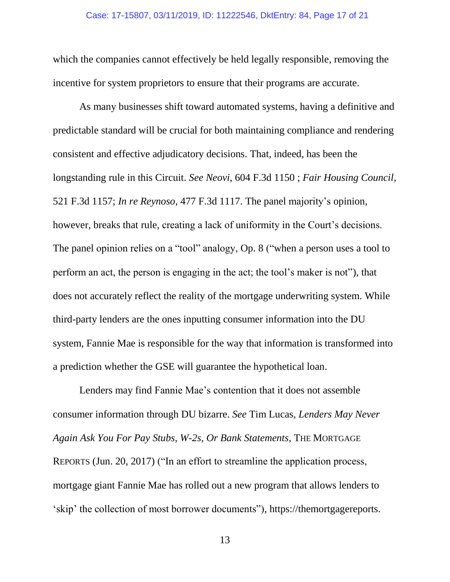which the companies cannot effectively be held legally responsible, removing the incentive for system proprietors to ensure that their programs are accurate.

As many businesses shift toward automated systems, having a definitive and predictable standard will be crucial for both maintaining compliance and rendering consistent and effective adjudicatory decisions. That, indeed, has been the longstanding rule in this Circuit. *See Neovi*, 604 F.3d 1150 ; *Fair Housing Council*, 521 F.3d 1157; *In re Reynoso*, 477 F.3d 1117. The panel majority's opinion, however, breaks that rule, creating a lack of uniformity in the Court's decisions. The panel opinion relies on a "tool" analogy, Op. 8 ("when a person uses a tool to perform an act, the person is engaging in the act; the tool's maker is not"), that does not accurately reflect the reality of the mortgage underwriting system. While third-party lenders are the ones inputting consumer information into the DU system, Fannie Mae is responsible for the way that information is transformed into a prediction whether the GSE will guarantee the hypothetical loan.

Lenders may find Fannie Mae's contention that it does not assemble consumer information through DU bizarre. *See* Tim Lucas, *Lenders May Never Again Ask You For Pay Stubs, W-2s, Or Bank Statements*, THE MORTGAGE REPORTS (Jun. 20, 2017) ("In an effort to streamline the application process, mortgage giant Fannie Mae has rolled out a new program that allows lenders to 'skip' the collection of most borrower documents"), https://themortgagereports.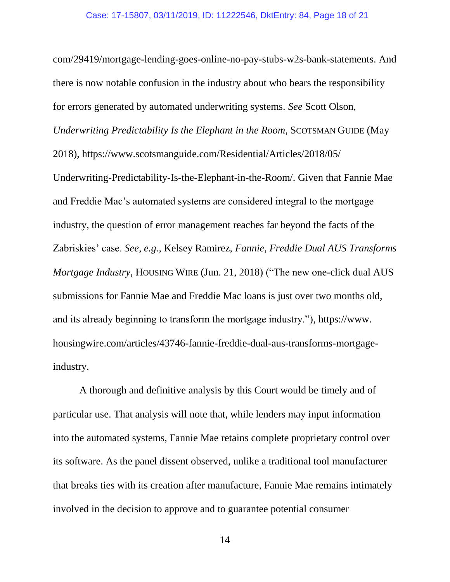com/29419/mortgage-lending-goes-online-no-pay-stubs-w2s-bank-statements. And there is now notable confusion in the industry about who bears the responsibility for errors generated by automated underwriting systems. *See* Scott Olson, *Underwriting Predictability Is the Elephant in the Room*, SCOTSMAN GUIDE (May 2018), https://www.scotsmanguide.com/Residential/Articles/2018/05/ Underwriting-Predictability-Is-the-Elephant-in-the-Room/. Given that Fannie Mae and Freddie Mac's automated systems are considered integral to the mortgage industry, the question of error management reaches far beyond the facts of the Zabriskies' case. *See, e.g.*, Kelsey Ramirez, *Fannie, Freddie Dual AUS Transforms Mortgage Industry*, HOUSING WIRE (Jun. 21, 2018) ("The new one-click dual AUS submissions for Fannie Mae and Freddie Mac loans is just over two months old, and its already beginning to transform the mortgage industry."), https://www. housingwire.com/articles/43746-fannie-freddie-dual-aus-transforms-mortgageindustry.

A thorough and definitive analysis by this Court would be timely and of particular use. That analysis will note that, while lenders may input information into the automated systems, Fannie Mae retains complete proprietary control over its software. As the panel dissent observed, unlike a traditional tool manufacturer that breaks ties with its creation after manufacture, Fannie Mae remains intimately involved in the decision to approve and to guarantee potential consumer

14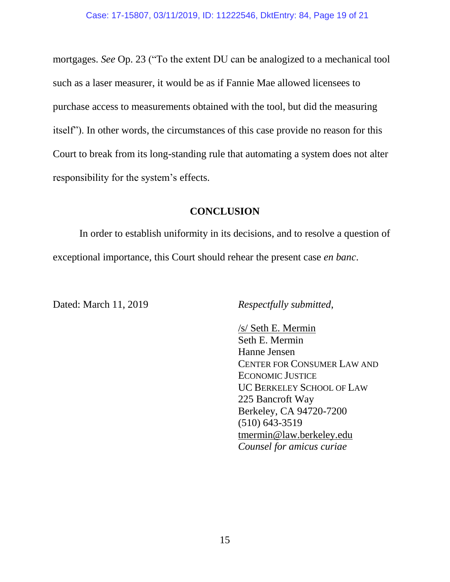mortgages. *See* Op. 23 ("To the extent DU can be analogized to a mechanical tool such as a laser measurer, it would be as if Fannie Mae allowed licensees to purchase access to measurements obtained with the tool, but did the measuring itself"). In other words, the circumstances of this case provide no reason for this Court to break from its long-standing rule that automating a system does not alter responsibility for the system's effects.

## **CONCLUSION**

<span id="page-18-0"></span>In order to establish uniformity in its decisions, and to resolve a question of exceptional importance, this Court should rehear the present case *en banc*.

Dated: March 11, 2019 *Respectfully submitted*,

/s/ Seth E. Mermin Seth E. Mermin Hanne Jensen CENTER FOR CONSUMER LAW AND ECONOMIC JUSTICE UC BERKELEY SCHOOL OF LAW 225 Bancroft Way Berkeley, CA 94720-7200 (510) 643-3519 [tmermin@law.berkeley.edu](mailto:mermin@law.berkeley.edu) *Counsel for amicus curiae*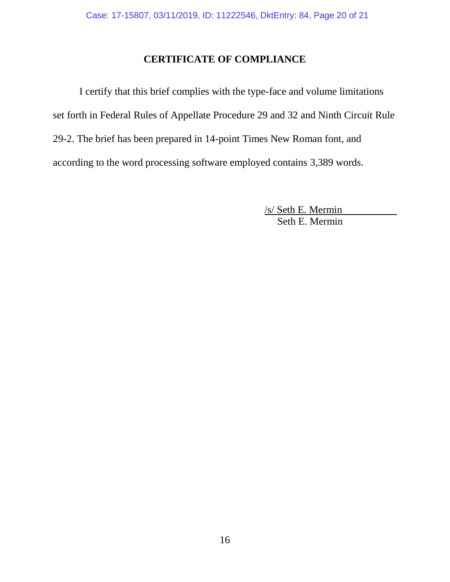# **CERTIFICATE OF COMPLIANCE**

<span id="page-19-0"></span>I certify that this brief complies with the type-face and volume limitations set forth in Federal Rules of Appellate Procedure 29 and 32 and Ninth Circuit Rule 29-2. The brief has been prepared in 14-point Times New Roman font, and according to the word processing software employed contains 3,389 words.

> /s/ Seth E. Mermin Seth E. Mermin